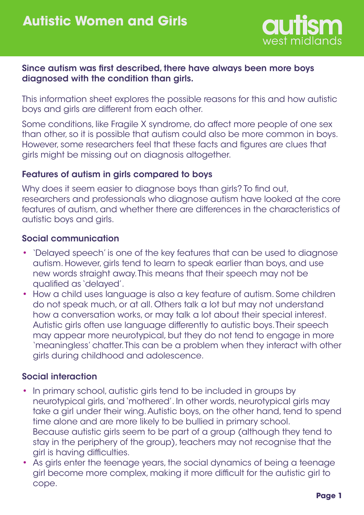

### Since autism was first described, there have always been more boys diagnosed with the condition than girls.

This information sheet explores the possible reasons for this and how autistic boys and girls are different from each other.

Some conditions, like Fragile X syndrome, do affect more people of one sex than other, so it is possible that autism could also be more common in boys. However, some researchers feel that these facts and figures are clues that girls might be missing out on diagnosis altogether.

### Features of autism in girls compared to boys

Why does it seem easier to diagnose boys than girls? To find out, researchers and professionals who diagnose autism have looked at the core features of autism, and whether there are differences in the characteristics of autistic boys and girls.

### Social communication

- 'Delayed speech' is one of the key features that can be used to diagnose autism. However, girls tend to learn to speak earlier than boys, and use new words straight away. This means that their speech may not be qualified as 'delayed'. •
- How a child uses language is also a key feature of autism. Some children do not speak much, or at all. Others talk a lot but may not understand how a conversation works, or may talk a lot about their special interest. Autistic girls often use language differently to autistic boys. Their speech may appear more neurotypical, but they do not tend to engage in more 'meaningless' chatter. This can be a problem when they interact with other girls during childhood and adolescence.

# Social interaction

- In primary school, autistic girls tend to be included in groups by neurotypical girls, and 'mothered'. In other words, neurotypical girls may take a girl under their wing. Autistic boys, on the other hand, tend to spend time alone and are more likely to be bullied in primary school. Because autistic girls seem to be part of a group (although they tend to stay in the periphery of the group), teachers may not recognise that the girl is having difficulties. •
- As girls enter the teenage years, the social dynamics of being a teenage •girl become more complex, making it more difficult for the autistic girl to cope.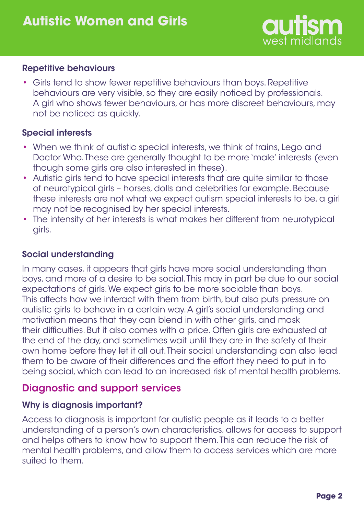

#### Repetitive behaviours

• Girls tend to show fewer repetitive behaviours than boys. Repetitive behaviours are very visible, so they are easily noticed by professionals. A girl who shows fewer behaviours, or has more discreet behaviours, may not be noticed as quickly.

#### Special interests

- When we think of autistic special interests, we think of trains, Lego and Doctor Who. These are generally thought to be more 'male' interests (even though some girls are also interested in these).
- Autistic girls tend to have special interests that are quite similar to those of neurotypical girls – horses, dolls and celebrities for example. Because these interests are not what we expect autism special interests to be, a girl may not be recognised by her special interests. •
- The intensity of her interests is what makes her different from neurotypical girls. •

### Social understanding

In many cases, it appears that girls have more social understanding than boys, and more of a desire to be social. This may in part be due to our social expectations of girls. We expect girls to be more sociable than boys. This affects how we interact with them from birth, but also puts pressure on autistic girls to behave in a certain way. A girl's social understanding and motivation means that they can blend in with other girls, and mask their difficulties. But it also comes with a price. Often girls are exhausted at the end of the day, and sometimes wait until they are in the safety of their own home before they let it all out. Their social understanding can also lead them to be aware of their differences and the effort they need to put in to being social, which can lead to an increased risk of mental health problems.

# Diagnostic and support services

#### Why is diagnosis important?

Access to diagnosis is important for autistic people as it leads to a better understanding of a person's own characteristics, allows for access to support and helps others to know how to support them. This can reduce the risk of mental health problems, and allow them to access services which are more suited to them.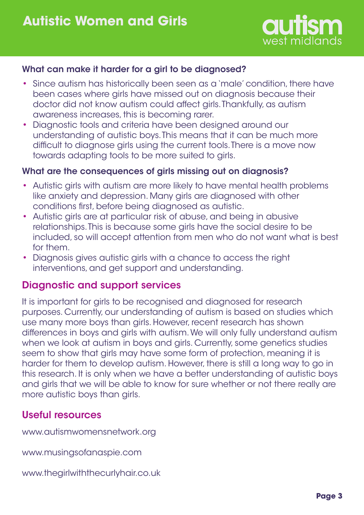

### What can make it harder for a girl to be diagnosed?

- Since autism has historically been seen as a 'male' condition, there have been cases where girls have missed out on diagnosis because their doctor did not know autism could affect girls. Thankfully, as autism awareness increases, this is becoming rarer.
- Diagnostic tools and criteria have been designed around our understanding of autistic boys. This means that it can be much more difficult to diagnose girls using the current tools. There is a move now towards adapting tools to be more suited to girls. •

#### What are the consequences of girls missing out on diagnosis?

- Autistic girls with autism are more likely to have mental health problems like anxiety and depression. Many girls are diagnosed with other conditions first, before being diagnosed as autistic.
- Autistic girls are at particular risk of abuse, and being in abusive relationships. This is because some girls have the social desire to be included, so will accept attention from men who do not want what is best for them.
- Diagnosis gives autistic girls with a chance to access the right interventions, and get support and understanding.

# Diagnostic and support services

It is important for girls to be recognised and diagnosed for research purposes. Currently, our understanding of autism is based on studies which use many more boys than girls. However, recent research has shown differences in boys and girls with autism. We will only fully understand autism when we look at autism in boys and girls. Currently, some genetics studies seem to show that girls may have some form of protection, meaning it is harder for them to develop autism. However, there is still a long way to go in this research. It is only when we have a better understanding of autistic boys and girls that we will be able to know for sure whether or not there really are more autistic boys than girls.

# Useful resources

www.autismwomensnetwork.org

www.musingsofanaspie.com

www.thegirlwiththecurlyhair.co.uk